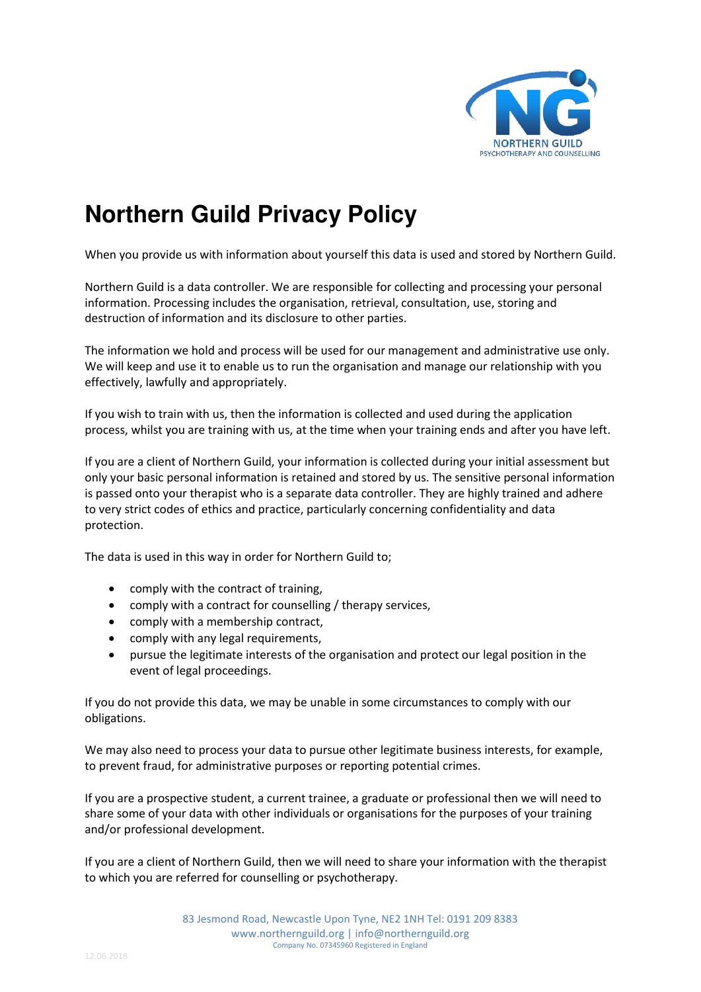

## **Northern Guild Privacy Policy**

When you provide us with information about yourself this data is used and stored by Northern Guild.

Northern Guild is a data controller. We are responsible for collecting and processing your personal information. Processing includes the organisation, retrieval, consultation, use, storing and destruction of information and its disclosure to other parties.

The information we hold and process will be used for our management and administrative use only. We will keep and use it to enable us to run the organisation and manage our relationship with you effectively, lawfully and appropriately.

If you wish to train with us, then the information is collected and used during the application process, whilst you are training with us, at the time when your training ends and after you have left.

If you are a client of Northern Guild, your information is collected during your initial assessment but only your basic personal information is retained and stored by us. The sensitive personal information is passed onto your therapist who is a separate data controller. They are highly trained and adhere to very strict codes of ethics and practice, particularly concerning confidentiality and data protection.

The data is used in this way in order for Northern Guild to;

- comply with the contract of training,
- comply with a contract for counselling / therapy services,
- comply with a membership contract,
- comply with any legal requirements,
- pursue the legitimate interests of the organisation and protect our legal position in the event of legal proceedings.

If you do not provide this data, we may be unable in some circumstances to comply with our obligations.

We may also need to process your data to pursue other legitimate business interests, for example, to prevent fraud, for administrative purposes or reporting potential crimes.

If you are a prospective student, a current trainee, a graduate or professional then we will need to share some of your data with other individuals or organisations for the purposes of your training and/or professional development.

If you are a client of Northern Guild, then we will need to share your information with the therapist to which you are referred for counselling or psychotherapy.